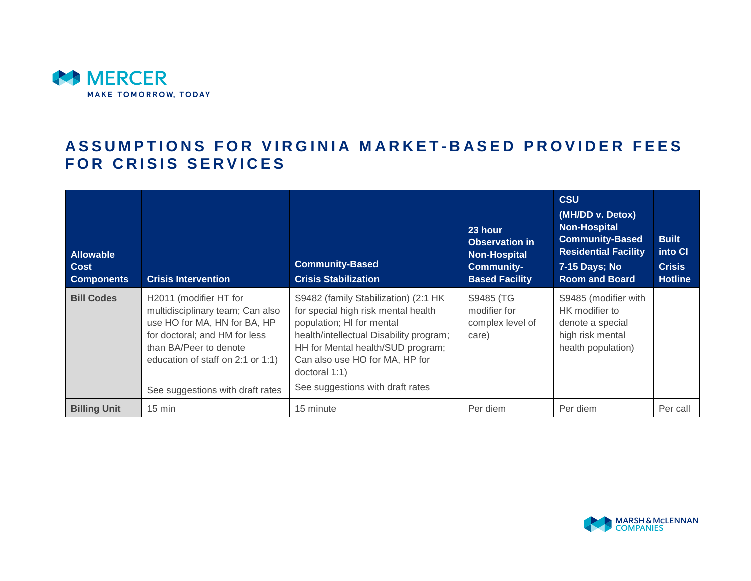

# **ASSUMPTIONS FOR VIRGINIA MARKET-BASED PROVIDER FEES FOR CRISIS SERVICES**

| <b>Allowable</b><br><b>Cost</b><br><b>Components</b> | <b>Crisis Intervention</b>                                                                                                                                                                                                     | <b>Community-Based</b><br><b>Crisis Stabilization</b>                                                                                                                                                                                                                           | 23 hour<br><b>Observation in</b><br><b>Non-Hospital</b><br><b>Community-</b><br><b>Based Facility</b> | <b>CSU</b><br>(MH/DD v. Detox)<br><b>Non-Hospital</b><br><b>Community-Based</b><br><b>Residential Facility</b><br>7-15 Days; No<br><b>Room and Board</b> | <b>Built</b><br>into CI<br><b>Crisis</b><br><b>Hotline</b> |
|------------------------------------------------------|--------------------------------------------------------------------------------------------------------------------------------------------------------------------------------------------------------------------------------|---------------------------------------------------------------------------------------------------------------------------------------------------------------------------------------------------------------------------------------------------------------------------------|-------------------------------------------------------------------------------------------------------|----------------------------------------------------------------------------------------------------------------------------------------------------------|------------------------------------------------------------|
| <b>Bill Codes</b>                                    | H2011 (modifier HT for<br>multidisciplinary team; Can also<br>use HO for MA, HN for BA, HP<br>for doctoral; and HM for less<br>than BA/Peer to denote<br>education of staff on 2:1 or 1:1)<br>See suggestions with draft rates | S9482 (family Stabilization) (2:1 HK<br>for special high risk mental health<br>population; HI for mental<br>health/intellectual Disability program;<br>HH for Mental health/SUD program;<br>Can also use HO for MA, HP for<br>doctoral 1:1)<br>See suggestions with draft rates | S9485 (TG<br>modifier for<br>complex level of<br>care)                                                | S9485 (modifier with<br>HK modifier to<br>denote a special<br>high risk mental<br>health population)                                                     |                                                            |
| <b>Billing Unit</b>                                  | $15 \text{ min}$                                                                                                                                                                                                               | 15 minute                                                                                                                                                                                                                                                                       | Per diem                                                                                              | Per diem                                                                                                                                                 | Per call                                                   |

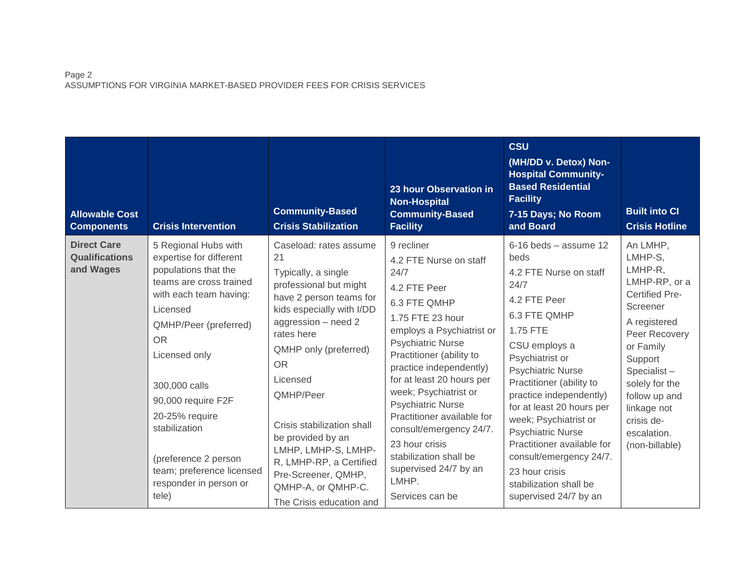# Page 2 ASSUMPTIONS FOR VIRGINIA MARKET-BASED PROVIDER FEES FOR CRISIS SERVICES

| <b>Allowable Cost</b><br><b>Components</b>               | <b>Crisis Intervention</b>                                                                                                                                                                                                                                                                                                                                        | <b>Community-Based</b><br><b>Crisis Stabilization</b>                                                                                                                                                                                                                                                                                                                                                                   | 23 hour Observation in<br><b>Non-Hospital</b><br><b>Community-Based</b><br><b>Facility</b>                                                                                                                                                                                                                                                                                                                                                                   | <b>CSU</b><br>(MH/DD v. Detox) Non-<br><b>Hospital Community-</b><br><b>Based Residential</b><br><b>Facility</b><br>7-15 Days; No Room<br>and Board                                                                                                                                                                                                                                                                                                  | <b>Built into CI</b><br><b>Crisis Hotline</b>                                                                                                                                                                                                          |
|----------------------------------------------------------|-------------------------------------------------------------------------------------------------------------------------------------------------------------------------------------------------------------------------------------------------------------------------------------------------------------------------------------------------------------------|-------------------------------------------------------------------------------------------------------------------------------------------------------------------------------------------------------------------------------------------------------------------------------------------------------------------------------------------------------------------------------------------------------------------------|--------------------------------------------------------------------------------------------------------------------------------------------------------------------------------------------------------------------------------------------------------------------------------------------------------------------------------------------------------------------------------------------------------------------------------------------------------------|------------------------------------------------------------------------------------------------------------------------------------------------------------------------------------------------------------------------------------------------------------------------------------------------------------------------------------------------------------------------------------------------------------------------------------------------------|--------------------------------------------------------------------------------------------------------------------------------------------------------------------------------------------------------------------------------------------------------|
| <b>Direct Care</b><br><b>Qualifications</b><br>and Wages | 5 Regional Hubs with<br>expertise for different<br>populations that the<br>teams are cross trained<br>with each team having:<br>Licensed<br>QMHP/Peer (preferred)<br><b>OR</b><br>Licensed only<br>300,000 calls<br>90,000 require F2F<br>20-25% require<br>stabilization<br>(preference 2 person<br>team; preference licensed<br>responder in person or<br>tele) | Caseload: rates assume<br>21<br>Typically, a single<br>professional but might<br>have 2 person teams for<br>kids especially with I/DD<br>aggression - need 2<br>rates here<br>QMHP only (preferred)<br><b>OR</b><br>Licensed<br>QMHP/Peer<br>Crisis stabilization shall<br>be provided by an<br>LMHP, LMHP-S, LMHP-<br>R, LMHP-RP, a Certified<br>Pre-Screener, QMHP,<br>QMHP-A, or QMHP-C.<br>The Crisis education and | 9 recliner<br>4.2 FTE Nurse on staff<br>24/7<br>4.2 FTE Peer<br>6.3 FTE QMHP<br>1.75 FTE 23 hour<br>employs a Psychiatrist or<br><b>Psychiatric Nurse</b><br>Practitioner (ability to<br>practice independently)<br>for at least 20 hours per<br>week; Psychiatrist or<br><b>Psychiatric Nurse</b><br>Practitioner available for<br>consult/emergency 24/7.<br>23 hour crisis<br>stabilization shall be<br>supervised 24/7 by an<br>LMHP.<br>Services can be | $6-16$ beds - assume 12<br>beds<br>4.2 FTE Nurse on staff<br>24/7<br>4.2 FTE Peer<br>6.3 FTE QMHP<br>1.75 FTE<br>CSU employs a<br>Psychiatrist or<br><b>Psychiatric Nurse</b><br>Practitioner (ability to<br>practice independently)<br>for at least 20 hours per<br>week; Psychiatrist or<br><b>Psychiatric Nurse</b><br>Practitioner available for<br>consult/emergency 24/7.<br>23 hour crisis<br>stabilization shall be<br>supervised 24/7 by an | An LMHP,<br>LMHP-S,<br>LMHP-R,<br>LMHP-RP, or a<br>Certified Pre-<br>Screener<br>A registered<br>Peer Recovery<br>or Family<br>Support<br>Specialist-<br>solely for the<br>follow up and<br>linkage not<br>crisis de-<br>escalation.<br>(non-billable) |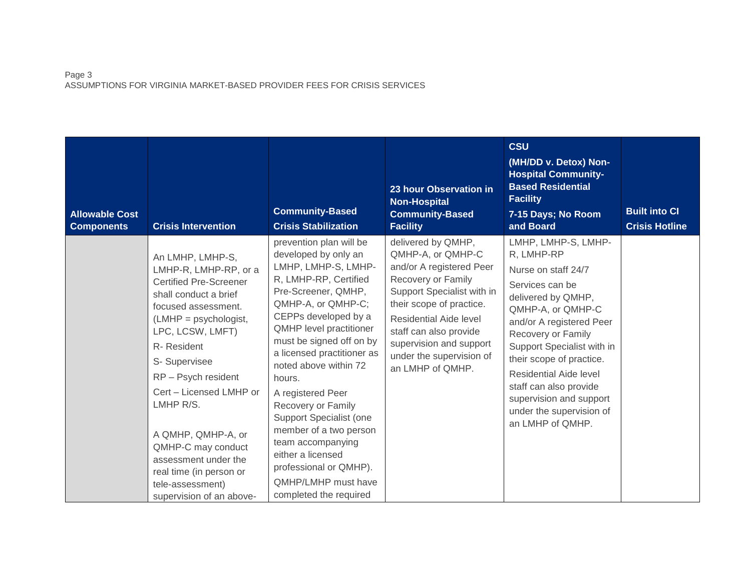# Page 3 ASSUMPTIONS FOR VIRGINIA MARKET-BASED PROVIDER FEES FOR CRISIS SERVICES

| <b>Allowable Cost</b><br><b>Components</b> | <b>Crisis Intervention</b>                                                                                                                                                                                                                                                                                                                                                                                             | <b>Community-Based</b><br><b>Crisis Stabilization</b>                                                                                                                                                                                                                                                                                                                                                                                                                                                                    | 23 hour Observation in<br><b>Non-Hospital</b><br><b>Community-Based</b><br><b>Facility</b>                                                                                                                                                                                         | <b>CSU</b><br>(MH/DD v. Detox) Non-<br><b>Hospital Community-</b><br><b>Based Residential</b><br><b>Facility</b><br>7-15 Days; No Room<br>and Board                                                                                                                                                                                                                      | <b>Built into CI</b><br><b>Crisis Hotline</b> |
|--------------------------------------------|------------------------------------------------------------------------------------------------------------------------------------------------------------------------------------------------------------------------------------------------------------------------------------------------------------------------------------------------------------------------------------------------------------------------|--------------------------------------------------------------------------------------------------------------------------------------------------------------------------------------------------------------------------------------------------------------------------------------------------------------------------------------------------------------------------------------------------------------------------------------------------------------------------------------------------------------------------|------------------------------------------------------------------------------------------------------------------------------------------------------------------------------------------------------------------------------------------------------------------------------------|--------------------------------------------------------------------------------------------------------------------------------------------------------------------------------------------------------------------------------------------------------------------------------------------------------------------------------------------------------------------------|-----------------------------------------------|
|                                            | An LMHP, LMHP-S,<br>LMHP-R, LMHP-RP, or a<br><b>Certified Pre-Screener</b><br>shall conduct a brief<br>focused assessment.<br>$(LMHP =$ psychologist,<br>LPC, LCSW, LMFT)<br>R-Resident<br>S- Supervisee<br>RP - Psych resident<br>Cert - Licensed LMHP or<br>LMHP R/S.<br>A QMHP, QMHP-A, or<br>QMHP-C may conduct<br>assessment under the<br>real time (in person or<br>tele-assessment)<br>supervision of an above- | prevention plan will be<br>developed by only an<br>LMHP, LMHP-S, LMHP-<br>R, LMHP-RP, Certified<br>Pre-Screener, QMHP,<br>QMHP-A, or QMHP-C;<br>CEPPs developed by a<br>QMHP level practitioner<br>must be signed off on by<br>a licensed practitioner as<br>noted above within 72<br>hours.<br>A registered Peer<br>Recovery or Family<br>Support Specialist (one<br>member of a two person<br>team accompanying<br>either a licensed<br>professional or QMHP).<br><b>QMHP/LMHP</b> must have<br>completed the required | delivered by QMHP,<br>QMHP-A, or QMHP-C<br>and/or A registered Peer<br>Recovery or Family<br>Support Specialist with in<br>their scope of practice.<br>Residential Aide level<br>staff can also provide<br>supervision and support<br>under the supervision of<br>an LMHP of QMHP. | LMHP, LMHP-S, LMHP-<br>R, LMHP-RP<br>Nurse on staff 24/7<br>Services can be<br>delivered by QMHP,<br>QMHP-A, or QMHP-C<br>and/or A registered Peer<br>Recovery or Family<br>Support Specialist with in<br>their scope of practice.<br><b>Residential Aide level</b><br>staff can also provide<br>supervision and support<br>under the supervision of<br>an LMHP of QMHP. |                                               |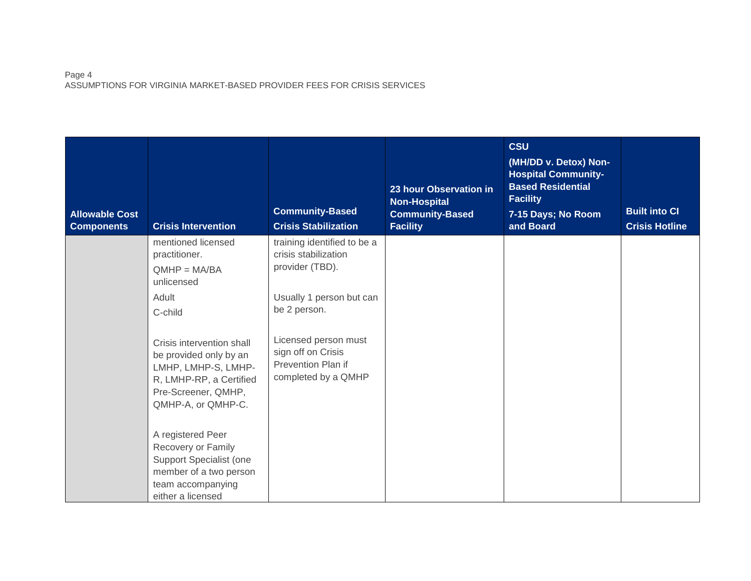## Page 4 ASSUMPTIONS FOR VIRGINIA MARKET-BASED PROVIDER FEES FOR CRISIS SERVICES

| <b>Allowable Cost</b><br><b>Components</b> | <b>Crisis Intervention</b>                                                                                                                         | <b>Community-Based</b><br><b>Crisis Stabilization</b>                                                              | 23 hour Observation in<br><b>Non-Hospital</b><br><b>Community-Based</b><br><b>Facility</b> | <b>CSU</b><br>(MH/DD v. Detox) Non-<br><b>Hospital Community-</b><br><b>Based Residential</b><br><b>Facility</b><br>7-15 Days; No Room<br>and Board | <b>Built into CI</b><br><b>Crisis Hotline</b> |
|--------------------------------------------|----------------------------------------------------------------------------------------------------------------------------------------------------|--------------------------------------------------------------------------------------------------------------------|--------------------------------------------------------------------------------------------|-----------------------------------------------------------------------------------------------------------------------------------------------------|-----------------------------------------------|
|                                            | mentioned licensed<br>practitioner.<br>$QMHP = MA/BA$<br>unlicensed<br>Adult<br>C-child                                                            | training identified to be a<br>crisis stabilization<br>provider (TBD).<br>Usually 1 person but can<br>be 2 person. |                                                                                            |                                                                                                                                                     |                                               |
|                                            | Crisis intervention shall<br>be provided only by an<br>LMHP, LMHP-S, LMHP-<br>R, LMHP-RP, a Certified<br>Pre-Screener, QMHP,<br>QMHP-A, or QMHP-C. | Licensed person must<br>sign off on Crisis<br>Prevention Plan if<br>completed by a QMHP                            |                                                                                            |                                                                                                                                                     |                                               |
|                                            | A registered Peer<br>Recovery or Family<br>Support Specialist (one<br>member of a two person<br>team accompanying<br>either a licensed             |                                                                                                                    |                                                                                            |                                                                                                                                                     |                                               |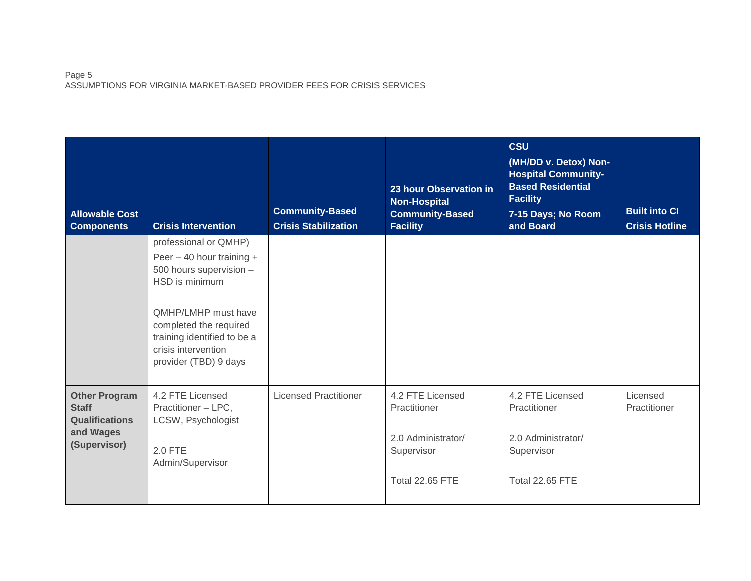## Page 5 ASSUMPTIONS FOR VIRGINIA MARKET-BASED PROVIDER FEES FOR CRISIS SERVICES

| <b>Allowable Cost</b><br><b>Components</b>                                                 | <b>Crisis Intervention</b>                                                                                                                                                                                                                 | <b>Community-Based</b><br><b>Crisis Stabilization</b> | 23 hour Observation in<br><b>Non-Hospital</b><br><b>Community-Based</b><br><b>Facility</b>     | <b>CSU</b><br>(MH/DD v. Detox) Non-<br><b>Hospital Community-</b><br><b>Based Residential</b><br><b>Facility</b><br>7-15 Days; No Room<br>and Board | <b>Built into CI</b><br><b>Crisis Hotline</b> |
|--------------------------------------------------------------------------------------------|--------------------------------------------------------------------------------------------------------------------------------------------------------------------------------------------------------------------------------------------|-------------------------------------------------------|------------------------------------------------------------------------------------------------|-----------------------------------------------------------------------------------------------------------------------------------------------------|-----------------------------------------------|
|                                                                                            | professional or QMHP)<br>Peer $-$ 40 hour training $+$<br>500 hours supervision -<br>HSD is minimum<br><b>QMHP/LMHP</b> must have<br>completed the required<br>training identified to be a<br>crisis intervention<br>provider (TBD) 9 days |                                                       |                                                                                                |                                                                                                                                                     |                                               |
| <b>Other Program</b><br><b>Staff</b><br><b>Qualifications</b><br>and Wages<br>(Supervisor) | 4.2 FTE Licensed<br>Practitioner - LPC,<br>LCSW, Psychologist<br><b>2.0 FTE</b><br>Admin/Supervisor                                                                                                                                        | <b>Licensed Practitioner</b>                          | 4.2 FTE Licensed<br>Practitioner<br>2.0 Administrator/<br>Supervisor<br><b>Total 22.65 FTE</b> | 4.2 FTE Licensed<br>Practitioner<br>2.0 Administrator/<br>Supervisor<br><b>Total 22.65 FTE</b>                                                      | Licensed<br>Practitioner                      |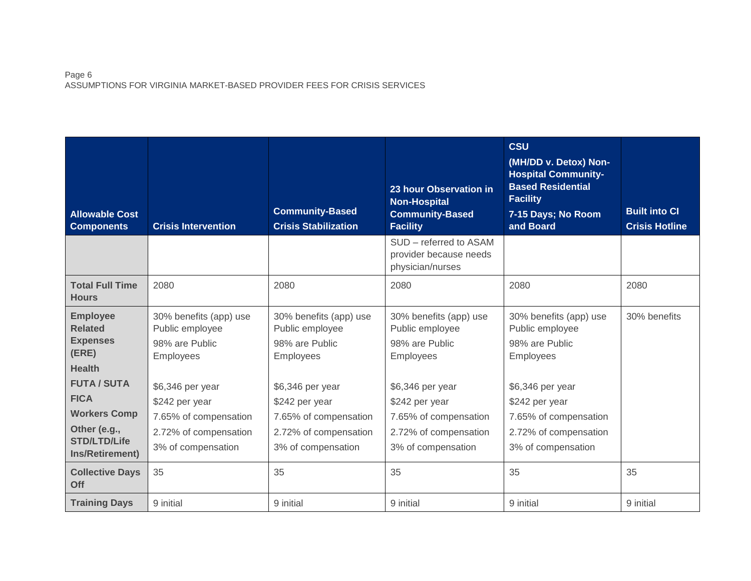## Page 6 ASSUMPTIONS FOR VIRGINIA MARKET-BASED PROVIDER FEES FOR CRISIS SERVICES

| <b>Allowable Cost</b><br><b>Components</b>                                                                                                 | <b>Crisis Intervention</b>                                                                                            | <b>Community-Based</b><br><b>Crisis Stabilization</b>                                                                 | 23 hour Observation in<br><b>Non-Hospital</b><br><b>Community-Based</b><br><b>Facility</b>                            | <b>CSU</b><br>(MH/DD v. Detox) Non-<br><b>Hospital Community-</b><br><b>Based Residential</b><br><b>Facility</b><br>7-15 Days; No Room<br>and Board | <b>Built into CI</b><br><b>Crisis Hotline</b> |
|--------------------------------------------------------------------------------------------------------------------------------------------|-----------------------------------------------------------------------------------------------------------------------|-----------------------------------------------------------------------------------------------------------------------|-----------------------------------------------------------------------------------------------------------------------|-----------------------------------------------------------------------------------------------------------------------------------------------------|-----------------------------------------------|
|                                                                                                                                            |                                                                                                                       |                                                                                                                       | SUD - referred to ASAM<br>provider because needs<br>physician/nurses                                                  |                                                                                                                                                     |                                               |
| <b>Total Full Time</b><br><b>Hours</b>                                                                                                     | 2080                                                                                                                  | 2080                                                                                                                  | 2080                                                                                                                  | 2080                                                                                                                                                | 2080                                          |
| <b>Employee</b><br><b>Related</b><br><b>Expenses</b><br>(ERE)<br><b>Health</b><br><b>FUTA / SUTA</b><br><b>FICA</b><br><b>Workers Comp</b> | 30% benefits (app) use<br>Public employee<br>98% are Public<br><b>Employees</b><br>\$6,346 per year<br>\$242 per year | 30% benefits (app) use<br>Public employee<br>98% are Public<br><b>Employees</b><br>\$6,346 per year<br>\$242 per year | 30% benefits (app) use<br>Public employee<br>98% are Public<br><b>Employees</b><br>\$6,346 per year<br>\$242 per year | 30% benefits (app) use<br>Public employee<br>98% are Public<br>Employees<br>\$6,346 per year<br>\$242 per year                                      | 30% benefits                                  |
| Other (e.g.,<br><b>STD/LTD/Life</b><br>Ins/Retirement)                                                                                     | 7.65% of compensation<br>2.72% of compensation<br>3% of compensation                                                  | 7.65% of compensation<br>2.72% of compensation<br>3% of compensation                                                  | 7.65% of compensation<br>2.72% of compensation<br>3% of compensation                                                  | 7.65% of compensation<br>2.72% of compensation<br>3% of compensation                                                                                |                                               |
| <b>Collective Days</b><br>Off                                                                                                              | 35                                                                                                                    | 35                                                                                                                    | 35                                                                                                                    | 35                                                                                                                                                  | 35                                            |
| <b>Training Days</b>                                                                                                                       | 9 initial                                                                                                             | 9 initial                                                                                                             | 9 initial                                                                                                             | 9 initial                                                                                                                                           | 9 initial                                     |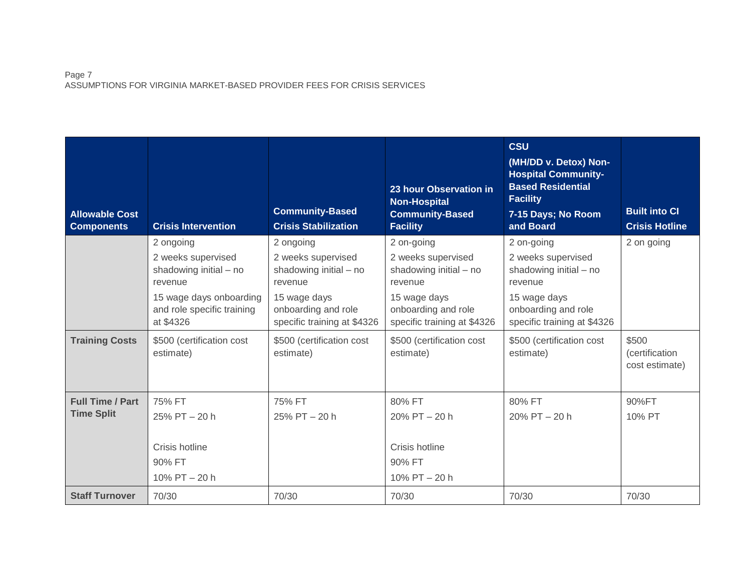# Page 7 ASSUMPTIONS FOR VIRGINIA MARKET-BASED PROVIDER FEES FOR CRISIS SERVICES

| <b>Allowable Cost</b><br><b>Components</b>   | <b>Crisis Intervention</b>                                                                                                                 | <b>Community-Based</b><br><b>Crisis Stabilization</b>                                                                                      | 23 hour Observation in<br><b>Non-Hospital</b><br><b>Community-Based</b><br><b>Facility</b>                                                  | <b>CSU</b><br>(MH/DD v. Detox) Non-<br><b>Hospital Community-</b><br><b>Based Residential</b><br><b>Facility</b><br>7-15 Days; No Room<br>and Board | <b>Built into CI</b><br><b>Crisis Hotline</b> |
|----------------------------------------------|--------------------------------------------------------------------------------------------------------------------------------------------|--------------------------------------------------------------------------------------------------------------------------------------------|---------------------------------------------------------------------------------------------------------------------------------------------|-----------------------------------------------------------------------------------------------------------------------------------------------------|-----------------------------------------------|
|                                              | 2 ongoing<br>2 weeks supervised<br>shadowing initial - no<br>revenue<br>15 wage days onboarding<br>and role specific training<br>at \$4326 | 2 ongoing<br>2 weeks supervised<br>shadowing initial - no<br>revenue<br>15 wage days<br>onboarding and role<br>specific training at \$4326 | 2 on-going<br>2 weeks supervised<br>shadowing initial - no<br>revenue<br>15 wage days<br>onboarding and role<br>specific training at \$4326 | 2 on-going<br>2 weeks supervised<br>shadowing initial - no<br>revenue<br>15 wage days<br>onboarding and role<br>specific training at \$4326         | 2 on going                                    |
| <b>Training Costs</b>                        | \$500 (certification cost<br>estimate)                                                                                                     | \$500 (certification cost<br>estimate)                                                                                                     | \$500 (certification cost<br>estimate)                                                                                                      | \$500 (certification cost<br>estimate)                                                                                                              | \$500<br>(certification<br>cost estimate)     |
| <b>Full Time / Part</b><br><b>Time Split</b> | 75% FT<br>25% PT - 20 h<br>Crisis hotline<br>90% FT<br>10% PT - 20 h                                                                       | 75% FT<br>25% PT - 20 h                                                                                                                    | 80% FT<br>$20\%$ PT $-20$ h<br>Crisis hotline<br>90% FT<br>10% PT - 20 h                                                                    | 80% FT<br>$20\%$ PT $-20$ h                                                                                                                         | 90%FT<br>10% PT                               |
| <b>Staff Turnover</b>                        | 70/30                                                                                                                                      | 70/30                                                                                                                                      | 70/30                                                                                                                                       | 70/30                                                                                                                                               | 70/30                                         |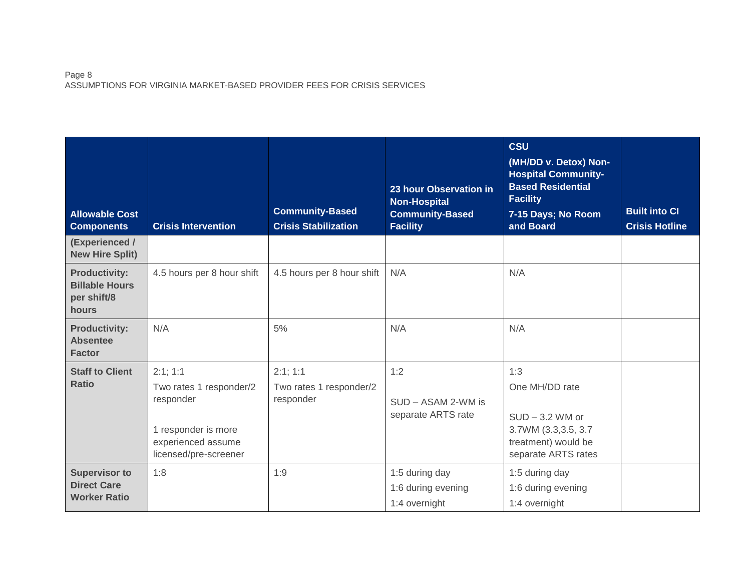### Page 8 ASSUMPTIONS FOR VIRGINIA MARKET-BASED PROVIDER FEES FOR CRISIS SERVICES

| <b>Allowable Cost</b><br><b>Components</b>                            | <b>Crisis Intervention</b>                                                                                            | <b>Community-Based</b><br><b>Crisis Stabilization</b> | 23 hour Observation in<br><b>Non-Hospital</b><br><b>Community-Based</b><br><b>Facility</b> | <b>CSU</b><br>(MH/DD v. Detox) Non-<br><b>Hospital Community-</b><br><b>Based Residential</b><br><b>Facility</b><br>7-15 Days; No Room<br>and Board | <b>Built into CI</b><br><b>Crisis Hotline</b> |
|-----------------------------------------------------------------------|-----------------------------------------------------------------------------------------------------------------------|-------------------------------------------------------|--------------------------------------------------------------------------------------------|-----------------------------------------------------------------------------------------------------------------------------------------------------|-----------------------------------------------|
| (Experienced /<br><b>New Hire Split)</b>                              |                                                                                                                       |                                                       |                                                                                            |                                                                                                                                                     |                                               |
| <b>Productivity:</b><br><b>Billable Hours</b><br>per shift/8<br>hours | 4.5 hours per 8 hour shift                                                                                            | 4.5 hours per 8 hour shift                            | N/A                                                                                        | N/A                                                                                                                                                 |                                               |
| <b>Productivity:</b><br><b>Absentee</b><br><b>Factor</b>              | N/A                                                                                                                   | 5%                                                    | N/A                                                                                        | N/A                                                                                                                                                 |                                               |
| <b>Staff to Client</b><br><b>Ratio</b>                                | 2:1;1:1<br>Two rates 1 responder/2<br>responder<br>1 responder is more<br>experienced assume<br>licensed/pre-screener | 2:1;1:1<br>Two rates 1 responder/2<br>responder       | 1:2<br>SUD - ASAM 2-WM is<br>separate ARTS rate                                            | 1:3<br>One MH/DD rate<br>$SUD - 3.2$ WM or<br>3.7WM (3.3,3.5, 3.7)<br>treatment) would be<br>separate ARTS rates                                    |                                               |
| <b>Supervisor to</b><br><b>Direct Care</b><br><b>Worker Ratio</b>     | 1:8                                                                                                                   | 1:9                                                   | 1:5 during day<br>1:6 during evening<br>1:4 overnight                                      | 1:5 during day<br>1:6 during evening<br>1:4 overnight                                                                                               |                                               |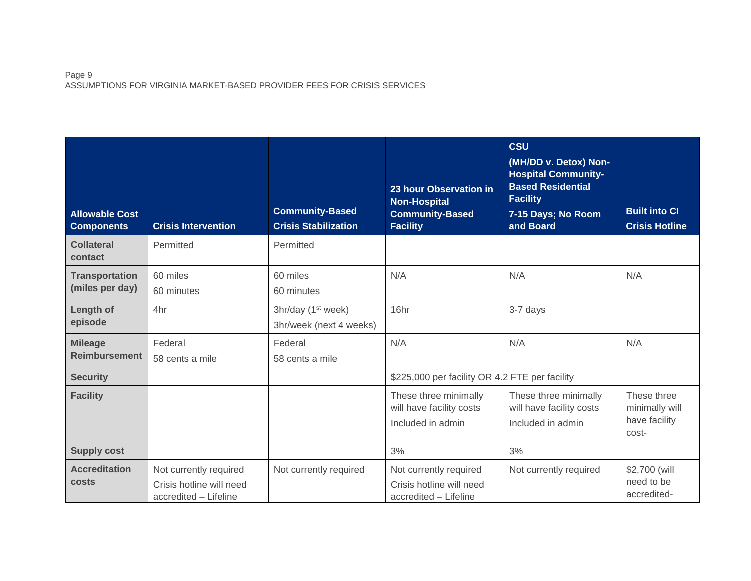## Page 9 ASSUMPTIONS FOR VIRGINIA MARKET-BASED PROVIDER FEES FOR CRISIS SERVICES

| <b>Allowable Cost</b><br><b>Components</b> | <b>Crisis Intervention</b>                                                  | <b>Community-Based</b><br><b>Crisis Stabilization</b>     | 23 hour Observation in<br><b>Non-Hospital</b><br><b>Community-Based</b><br><b>Facility</b> | <b>CSU</b><br>(MH/DD v. Detox) Non-<br><b>Hospital Community-</b><br><b>Based Residential</b><br><b>Facility</b><br>7-15 Days; No Room<br>and Board | <b>Built into CI</b><br><b>Crisis Hotline</b>           |
|--------------------------------------------|-----------------------------------------------------------------------------|-----------------------------------------------------------|--------------------------------------------------------------------------------------------|-----------------------------------------------------------------------------------------------------------------------------------------------------|---------------------------------------------------------|
| <b>Collateral</b><br>contact               | Permitted                                                                   | Permitted                                                 |                                                                                            |                                                                                                                                                     |                                                         |
| <b>Transportation</b><br>(miles per day)   | 60 miles<br>60 minutes                                                      | 60 miles<br>60 minutes                                    | N/A                                                                                        | N/A                                                                                                                                                 | N/A                                                     |
| Length of<br>episode                       | 4hr                                                                         | 3hr/day (1 <sup>st</sup> week)<br>3hr/week (next 4 weeks) | 16hr                                                                                       | 3-7 days                                                                                                                                            |                                                         |
| <b>Mileage</b><br><b>Reimbursement</b>     | Federal<br>58 cents a mile                                                  | Federal<br>58 cents a mile                                | N/A                                                                                        | N/A                                                                                                                                                 | N/A                                                     |
| <b>Security</b>                            |                                                                             |                                                           | \$225,000 per facility OR 4.2 FTE per facility                                             |                                                                                                                                                     |                                                         |
| <b>Facility</b>                            |                                                                             |                                                           | These three minimally<br>will have facility costs<br>Included in admin                     | These three minimally<br>will have facility costs<br>Included in admin                                                                              | These three<br>minimally will<br>have facility<br>cost- |
| <b>Supply cost</b>                         |                                                                             |                                                           | 3%                                                                                         | 3%                                                                                                                                                  |                                                         |
| <b>Accreditation</b><br>costs              | Not currently required<br>Crisis hotline will need<br>accredited - Lifeline | Not currently required                                    | Not currently required<br>Crisis hotline will need<br>accredited - Lifeline                | Not currently required                                                                                                                              | \$2,700 (will<br>need to be<br>accredited-              |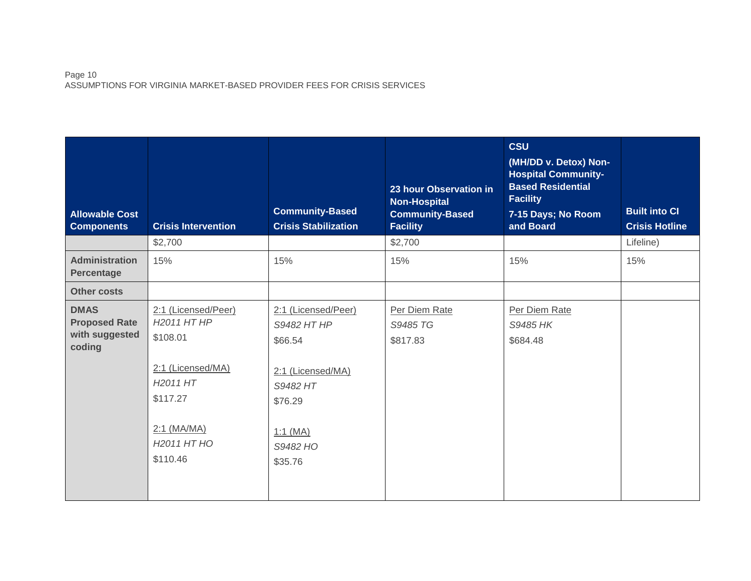### Page 10 ASSUMPTIONS FOR VIRGINIA MARKET-BASED PROVIDER FEES FOR CRISIS SERVICES

| <b>Allowable Cost</b><br><b>Components</b>                      | <b>Crisis Intervention</b>                                                                                                                                                  | <b>Community-Based</b><br><b>Crisis Stabilization</b>                                                                          | 23 hour Observation in<br><b>Non-Hospital</b><br><b>Community-Based</b><br><b>Facility</b> | <b>CSU</b><br>(MH/DD v. Detox) Non-<br><b>Hospital Community-</b><br><b>Based Residential</b><br><b>Facility</b><br>7-15 Days; No Room<br>and Board | <b>Built into CI</b><br><b>Crisis Hotline</b> |
|-----------------------------------------------------------------|-----------------------------------------------------------------------------------------------------------------------------------------------------------------------------|--------------------------------------------------------------------------------------------------------------------------------|--------------------------------------------------------------------------------------------|-----------------------------------------------------------------------------------------------------------------------------------------------------|-----------------------------------------------|
|                                                                 | \$2,700                                                                                                                                                                     |                                                                                                                                | \$2,700                                                                                    |                                                                                                                                                     | Lifeline)                                     |
| <b>Administration</b><br>Percentage                             | 15%                                                                                                                                                                         | 15%                                                                                                                            | 15%                                                                                        | 15%                                                                                                                                                 | 15%                                           |
| <b>Other costs</b>                                              |                                                                                                                                                                             |                                                                                                                                |                                                                                            |                                                                                                                                                     |                                               |
| <b>DMAS</b><br><b>Proposed Rate</b><br>with suggested<br>coding | 2:1 (Licensed/Peer)<br>H <sub>2011</sub> HT HP<br>\$108.01<br>2:1 (Licensed/MA)<br>H <sub>2011</sub> HT<br>\$117.27<br>$2:1$ (MA/MA)<br>H <sub>2011</sub> HT HO<br>\$110.46 | 2:1 (Licensed/Peer)<br>S9482 HT HP<br>\$66.54<br>2:1 (Licensed/MA)<br>S9482 HT<br>\$76.29<br>$1:1$ (MA)<br>S9482 HO<br>\$35.76 | Per Diem Rate<br>S9485 TG<br>\$817.83                                                      | Per Diem Rate<br>S9485 HK<br>\$684.48                                                                                                               |                                               |